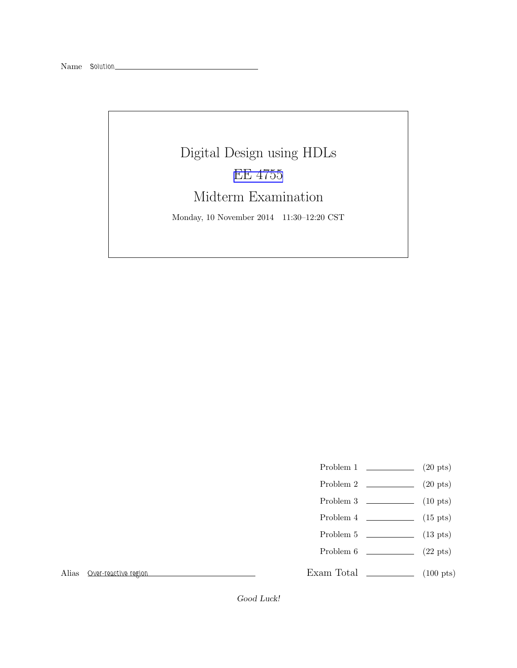# Digital Design using HDLs [EE 4755](http://www.ece.lsu.edu/koppel/v/) Midterm Examination

Monday, 10 November 2014 11:30–12:20 CST

- Problem 1  $\qquad \qquad (20 \text{ pts})$
- Problem 2  $\qquad \qquad (20 \text{ pts})$
- Problem  $3 \t\t(10 \text{ pts})$
- Problem 4  $\qquad \qquad$  (15 pts)
- Problem 5  $\qquad \qquad$  (13 pts)
- Problem  $6 \t\t(22 \text{ pts})$

Alias Over-reactive region

Exam Total  $\qquad \qquad$  (100 pts)

Good Luck!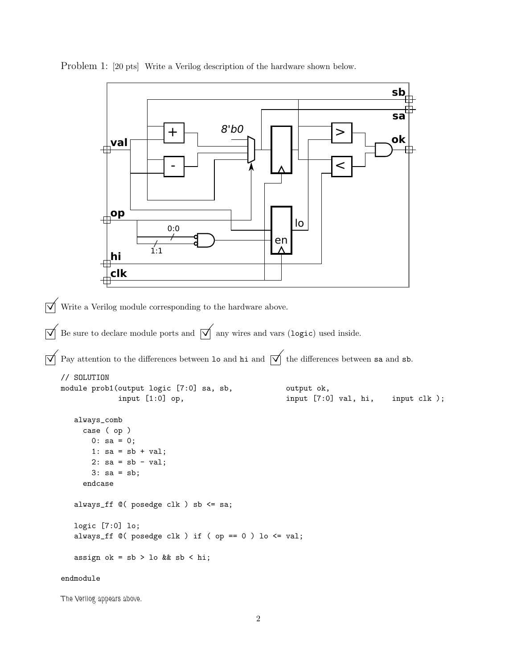```
+
                                  - \mapsto \qquad \uparrow \uparrow \uparrow \uparrow \uparrow \uparrow8'b0 \Boxen
                            1:10:0
                                                                                              sa
                                                                                              sb
                  val
               op
                  hi
                                                                                              ok
                                                                   lo
                  clk
\triangledown Write a Verilog module corresponding to the hardware above.
\overrightarrow{\mathsf{Q}} Be sure to declare module ports and \overrightarrow{\mathsf{Q}} any wires and vars (logic) used inside.
\overrightarrow{\mathcal{A}} Pay attention to the differences between 10 and hi and \overrightarrow{\mathcal{A}} the differences between sa and sb.
    // SOLUTION
    module prob1(output logic [7:0] sa, sb, output ok,
                   input [1:0] op, \qquad \qquad input [7:0] val, hi, input clk );
        always_comb
          case ( op )
            0: sa = 0;1: sa = sb + val;2: sa = sb - val;3: sa = sb;
          endcase
        always_ff @( posedge clk ) sb <= sa;
       logic [7:0] lo;
        always_ff @( posedge clk ) if ( op == 0 ) lo \le val;
        assign ok = sb > lo && sb < hi;
    endmodule
```
Problem 1: [20 pts] Write a Verilog description of the hardware shown below.

The Verilog appears above.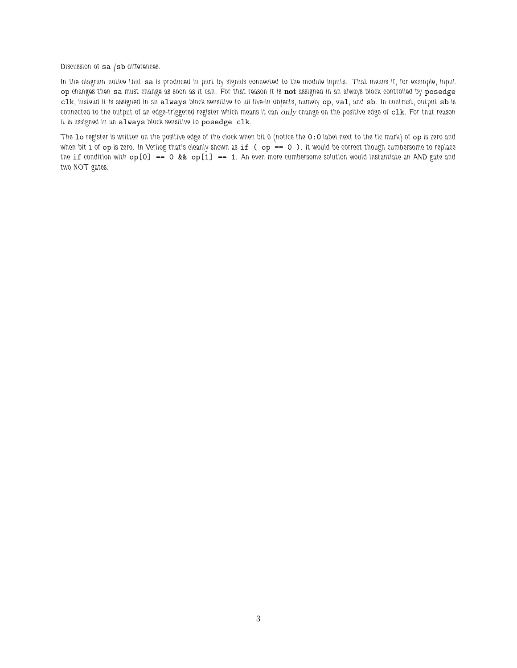Discussion of sa /sb differences.

In the diagram notice that sa is produced in part by signals connected to the module inputs. That means if, for example, input op changes then sa must change as soon as it can. For that reason it is not assigned in an always block controlled by posedge clk, instead it is assigned in an always block sensitive to all live-in objects, namely op, val, and sb. In contrast, output sb is connected to the output of an edge-triggered register which means it can only change on the positive edge of clk. For that reason it is assigned in an always block sensitive to posedge clk.

The lo register is written on the positive edge of the clock when bit 0 (notice the 0:0 label next to the tic mark) of op is zero and when bit 1 of  $op$  is zero. In Verilog that's cleanly shown as  $if$  ( $op == 0$ ). It would be correct though cumbersome to replace the if condition with  $op[0] == 0$  &&  $op[1] == 1$ . An even more cumbersome solution would instantiate an AND gate and two NOT gates.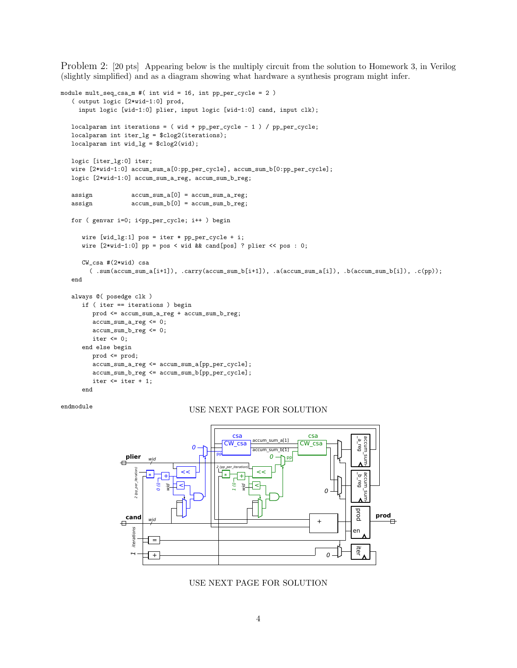Problem 2: [20 pts] Appearing below is the multiply circuit from the solution to Homework 3, in Verilog (slightly simplified) and as a diagram showing what hardware a synthesis program might infer.

```
module mult_seq_csa_m #( int wid = 16, int pp_per_cycle = 2 )
   ( output logic [2*wid-1:0] prod,
    input logic [wid-1:0] plier, input logic [wid-1:0] cand, input clk);
  localparam int iterations = (wid + pp_{per\_cycle} - 1) / pp_{per\_cycle};
  localparam int iter_lg = $clog2(iterations);
  localparam int wid_lg = $clog2(wid);
  logic [iter_lg:0] iter;
  wire [2*wid-1:0] accum_sum_a[0:pp_per_cycle], accum_sum_b[0:pp_per_cycle];
  logic [2*wid-1:0] accum_sum_a_reg, accum_sum_b_reg;
  assign accum_sum_a[0] = accum_sum_a_reg;
  assign \text{accum\_sum_b[0]} = \text{accum\_sum_b_reg};for ( genvar i=0; i<pp_per_cycle; i++ ) begin
     wire [wid_lg:1] pos = iter * pp_per_cycle + i;
     wire [2*wid-1:0] pp = pos < wid && cand[pos] ? plier << pos : 0;
     CW_csa #(2*wid) csa
        ( .sum(accum_sum_a[i+1]), .carry(accum_sum_b[i+1]), .a(accum_sum_a[i]), .b(accum_sum_b[i]), .c(pp));
  end
  always @( posedge clk )
     if ( iter == iterations ) begin
        prod <= accum_sum_a_reg + accum_sum_b_reg;
        accum_sum_a_reg <= 0;
        accum_sum_b_reg <= 0;
        iter \leq 0;
     end else begin
        prod <= prod;
         accum_sum_a_reg <= accum_sum_a[pp_per_cycle];
        accum_sum_b_reg <= accum_sum_b[pp_per_cycle];
        iter \leq iter + 1;
      end
```
### endmodule USE NEXT PAGE FOR SOLUTION



USE NEXT PAGE FOR SOLUTION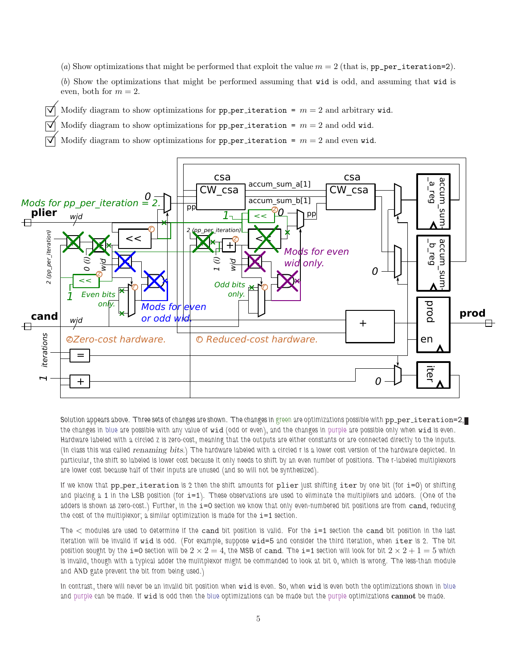(a) Show optimizations that might be performed that exploit the value  $m = 2$  (that is, pp\_per\_iteration=2).

(b) Show the optimizations that might be performed assuming that wid is odd, and assuming that wid is even, both for  $m = 2$ .

- $\forall$  Modify diagram to show optimizations for pp per iteration =  $m = 2$  and arbitrary wid.
	- Modify diagram to show optimizations for pp per iteration =  $m = 2$  and odd wid.
	- Modify diagram to show optimizations for pp per iteration =  $m = 2$  and even wid.



Solution appears above. Three sets of changes are shown. The changes in green are optimizations possible with pp\_per\_iteration=2, the changes in blue are possible with any value of wid (odd or even), and the changes in purple are possible only when wid is even. Hardware labeled with a circled z is zero-cost, meaning that the outputs are either constants or are connected directly to the inputs. (In class this was called renaming bits.) The hardware labeled with a circled r is a lower cost version of the hardware depicted. In particular, the shift so labeled is lower cost because it only needs to shift by an even number of positions. The r-labeled multiplexors are lower cost because half of their inputs are unused (and so will not be synthesized).

If we know that  $pp-per\_iteration$  is 2 then the shift amounts for  $plier$  just shifting iter by one bit (for  $i=0$ ) or shifting and placing  $a_1$  in the LSB position (for  $i=1$ ). These observations are used to eliminate the multipliers and adders. (One of the adders is shown as zero-cost.) Further, in the i=0 section we know that only even-numbered bit positions are from cand, reducing the cost of the multiplexor; a similar optimization is made for the  $i=1$  section.

The < modules are used to determine if the cand bit position is valid. For the i=1 section the cand bit position in the last iteration will be invalid if wid is odd. (For example, suppose wid=5 and consider the third iteration, when iter is 2. The bit position sought by the i=0 section will be  $2 \times 2 = 4$ , the MSB of cand. The i=1 section will look for bit  $2 \times 2 + 1 = 5$  which is invalid, though with a typical adder the mulitplexor might be commanded to look at bit 0, which is wrong. The less-than module and AND gate prevent the bit from being used.)

In contrast, there will never be an invalid bit position when wid is even. So, when wid is even both the optimizations shown in blue and purple can be made. If wid is odd then the blue optimizations can be made but the purple optimizations cannot be made.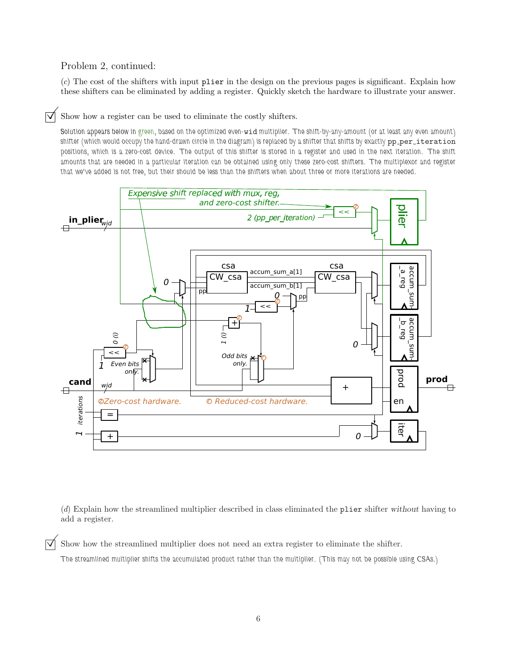### Problem 2, continued:

(c) The cost of the shifters with input plier in the design on the previous pages is significant. Explain how these shifters can be eliminated by adding a register. Quickly sketch the hardware to illustrate your answer.

 $\triangledown$  Show how a register can be used to eliminate the costly shifters.

Solution appears below in green, based on the optimized even-wid multiplier. The shift-by-any-amount (or at least any even amount) shifter (which would occupy the hand-drawn circle in the diagram) is replaced by a shifter that shifts by exactly pp\_per\_iteration positions, which is a zero-cost device. The output of this shifter is stored in a register and used in the next iteration. The shift amounts that are needed in a particular iteration can be obtained using only these zero-cost shifters. The multiplexor and register that we've added is not free, but their should be less than the shifters when about three or more iterations are needed.



(d) Explain how the streamlined multiplier described in class eliminated the plier shifter without having to add a register.

 $\triangledown$  Show how the streamlined multiplier does not need an extra register to eliminate the shifter.

The streamlined multiplier shifts the accumulated product rather than the multiplier. (This may not be possible using CSAs.)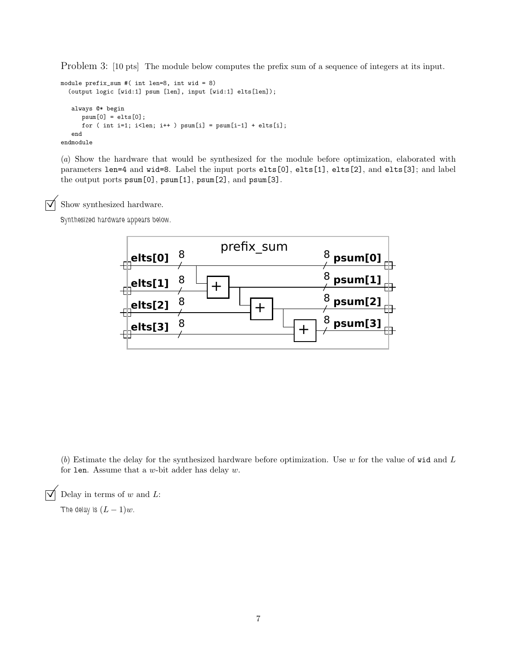Problem 3: [10 pts] The module below computes the prefix sum of a sequence of integers at its input.

```
module prefix_sum #( int len=8, int wid = 8)
  (output logic [wid:1] psum [len], input [wid:1] elts[len]);
   always @* begin
      psum[0] = elts[0];for ( int i=1; i<len; i++ ) psum[i] = psum[i-1] + elts[i];end
endmodule
```
(a) Show the hardware that would be synthesized for the module before optimization, elaborated with parameters len=4 and wid=8. Label the input ports elts[0], elts[1], elts[2], and elts[3]; and label the output ports psum[0], psum[1], psum[2], and psum[3].

 $\triangledown$  Show synthesized hardware.

Synthesized hardware appears below.



(b) Estimate the delay for the synthesized hardware before optimization. Use  $w$  for the value of wid and  $L$ for len. Assume that a  $w$ -bit adder has delay  $w$ .

 $\triangledown$  Delay in terms of w and L:

The delay is  $(L-1)w$ .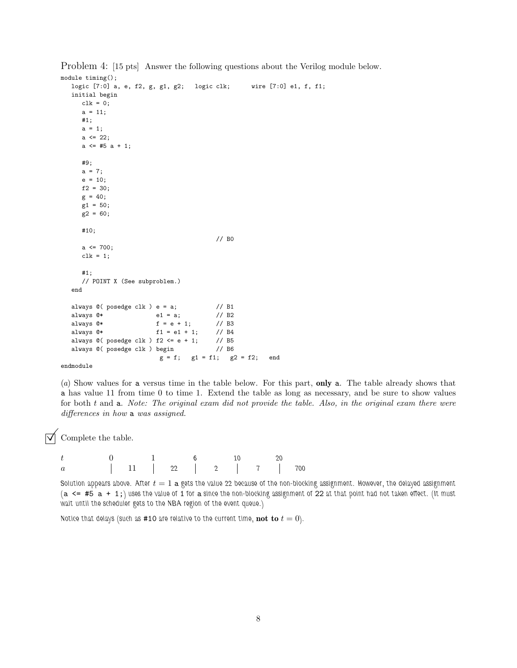```
module timing();
  logic [7:0] a, e, f2, g, g1, g2; logic clk; wire [7:0] e1, f, f1;
  initial begin
     clk = 0;a = 11;
     #1;
     a = 1;a \leq 22;
     a \leq 45 a + 1;
     #9;
     a = 7;e = 10;f2 = 30;
     g = 40;
     g1 = 50;
     g2 = 60;
     #10;
                                        // B0
     a \le 700;
     clk = 1;
     #1;
     // POINT X (See subproblem.)
  end
  always @( posedge clk ) e = a; // B1always @* e1 = a; // B2<br>always @* f = e + 1; // B3f = e + 1;always @* f1 = e1 + 1; // B4
  always @( posedge clk ) f2 <= e + 1; // B5
  always @( posedge clk ) begin // B6
                         g = f; g1 = f1; g2 = f2; end
```
Problem 4: [15 pts] Answer the following questions about the Verilog module below.

endmodule

(a) Show values for a versus time in the table below. For this part, only a. The table already shows that a has value 11 from time 0 to time 1. Extend the table as long as necessary, and be sure to show values for both t and a. Note: The original exam did not provide the table. Also, in the original exam there were differences in how a was assigned.

 $\triangledown$  Complete the table.

|         |  | 6 10              |  | $\sim$ 20 |  |
|---------|--|-------------------|--|-----------|--|
| $\it a$ |  | $11$ 22 2 2 7 700 |  |           |  |

Solution appears above. After  $t = 1$  a gets the value 22 because of the non-blocking assignment. However, the delayed assignment (a  $\leq$  #5 a + 1;) uses the value of 1 for a since the non-blocking assignment of 22 at that point had not taken effect. (It must wait until the scheduler gets to the NBA region of the event queue.)

Notice that delays (such as #10 are relative to the current time, not to  $t = 0$ ).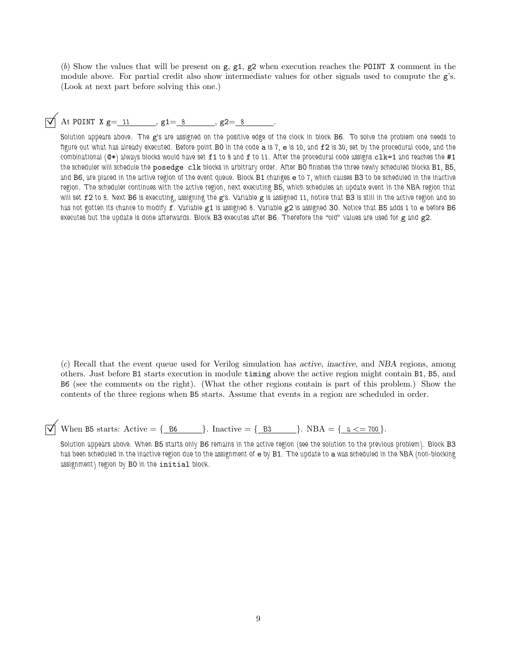(b) Show the values that will be present on  $g$ ,  $g_1$ ,  $g_2$  when execution reaches the POINT X comment in the module above. For partial credit also show intermediate values for other signals used to compute the g's. (Look at next part before solving this one.)

## $\sqrt{\phantom{a}}$  At POINT X g= 11 , g1= 8 , g2= 8

Solution appears above. The g's are assigned on the positive edge of the clock in block B6. To solve the problem one needs to figure out what has already executed. Before point B0 in the code a is 7, e is 10, and f2 is 30, set by the procedural code, and the combinational ( $@*$ ) always blocks would have set  $f1$  to 8 and  $f$  to 11. After the procedural code assigns  $c1k=1$  and reaches the  $#1$ the scheduler will schedule the posedge clk blocks in arbitrary order. After B0 finishes the three newly scheduled blocks B1, B5, and B6, are placed in the active region of the event queue. Block B1 changes e to 7, which causes B3 to be scheduled in the inactive region. The scheduler continues with the active region, next executing B5, which schedules an update event in the NBA region that will set f2 to 8. Next B6 is executing, assigning the g's. Variable g is assigned 11, notice that B3 is still in the active region and so has not gotten its chance to modify f. Variable g1 is assigned 8. Variable g2 is assigned 30. Notice that B5 adds 1 to e before B6 executes but the update is done afterwards. Block B3 executes after B6. Therefore the "old" values are used for g and g2.

(c) Recall that the event queue used for Verilog simulation has active, inactive, and NBA regions, among others. Just before B1 starts execution in module timing above the active region might contain B1, B5, and B6 (see the comments on the right). (What the other regions contain is part of this problem.) Show the contents of the three regions when B5 starts. Assume that events in a region are scheduled in order.

When B5 starts: Active  $= \{ B6 \}$ . Inactive  $= \{ B3 \}$ . NBA  $= \{ a \le 700 \}$ .

Solution appears above. When B5 starts only B6 remains in the active region (see the solution to the previous problem). Block B3 has been scheduled in the inactive region due to the assignment of e by B1. The update to a was scheduled in the NBA (non-blocking assignment) region by B0 in the initial block.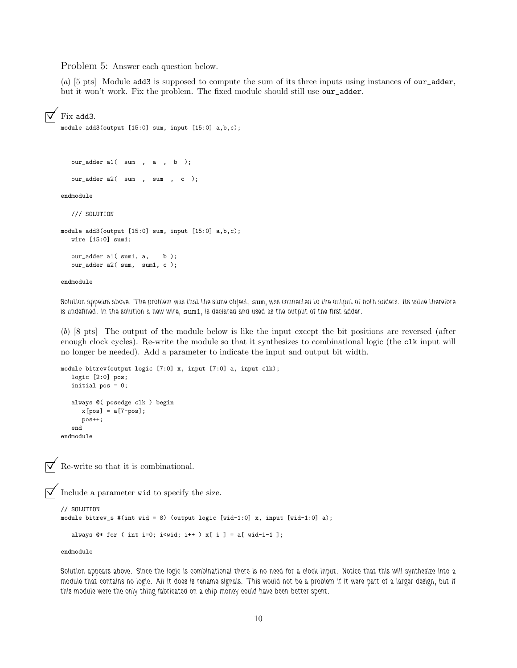Problem 5: Answer each question below.

(a)  $[5 \text{ pts}]$  Module add3 is supposed to compute the sum of its three inputs using instances of our\_adder, but it won't work. Fix the problem. The fixed module should still use our\_adder.

#### Fix add3.

module add3(output [15:0] sum, input [15:0] a,b,c);

```
our_adder a1( sum , a , b );
```
our\_adder a2( sum , sum , c );

endmodule

```
/// SOLUTION
```

```
module add3(output [15:0] sum, input [15:0] a,b,c);
  wire [15:0] sum1;
  our_adder a1( sum1, a, b);
  our_adder a2( sum, sum1, c );
```

```
endmodule
```
Solution appears above. The problem was that the same object, sum, was connected to the output of both adders. Its value therefore is undefined. In the solution a new wire, sum1, is declared and used as the output of the first adder.

(b) [8 pts] The output of the module below is like the input except the bit positions are reversed (after enough clock cycles). Re-write the module so that it synthesizes to combinational logic (the clk input will no longer be needed). Add a parameter to indicate the input and output bit width.

```
module bitrev(output logic [7:0] x, input [7:0] a, input clk);
  logic [2:0] pos;
  initial pos = 0;
  always @( posedge clk ) begin
     x[pos] = a[7-pos];pos++;
  end
endmodule
```
Re-write so that it is combinational.

Include a parameter wid to specify the size.

```
// SOLUTION
module bitrev_s #(int wid = 8) (output logic [wid-1:0] x, input [wid-1:0] a);
   always @* for ( int i=0; i<wid; i++ ) x[ i ] = a[ wid-i-1 ];
```
endmodule

Solution appears above. Since the logic is combinational there is no need for a clock input. Notice that this will synthesize into a module that contains no logic. All it does is rename signals. This would not be a problem if it were part of a larger design, but if this module were the only thing fabricated on a chip money could have been better spent.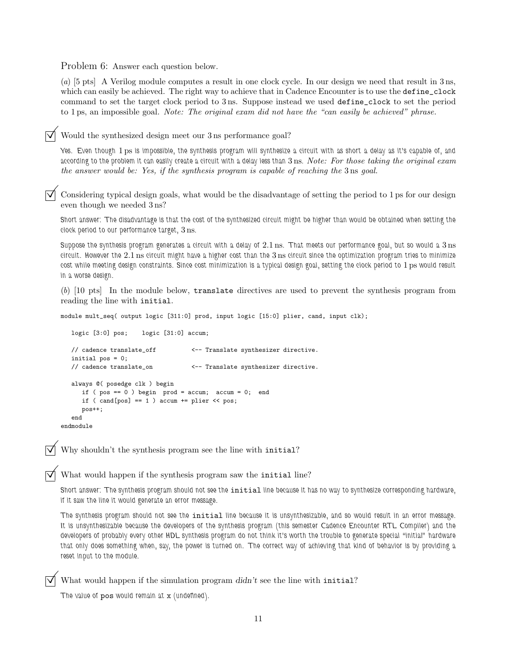Problem 6: Answer each question below.

(a) [5 pts] A Verilog module computes a result in one clock cycle. In our design we need that result in 3 ns, which can easily be achieved. The right way to achieve that in Cadence Encounter is to use the define\_clock command to set the target clock period to 3 ns. Suppose instead we used define\_clock to set the period to 1 ps, an impossible goal. Note: The original exam did not have the "can easily be achieved" phrase.

Would the synthesized design meet our 3 ns performance goal?

Yes. Even though 1 ps is impossible, the synthesis program will synthesize a circuit with as short a delay as it's capable of, and according to the problem it can easily create a circuit with a delay less than 3 ns. Note: For those taking the original exam the answer would be: Yes, if the synthesis program is capable of reaching the 3 ns goal.

Considering typical design goals, what would be the disadvantage of setting the period to 1 ps for our design even though we needed 3 ns?

Short answer: The disadvantage is that the cost of the synthesized circuit might be higher than would be obtained when setting the clock period to our performance target, 3 ns.

Suppose the synthesis program generates a circuit with a delay of 2.1 ns. That meets our performance goal, but so would a 3 ns circuit. However the 2.1 ns circuit might have a higher cost than the 3 ns circuit since the optimization program tries to minimize cost while meeting design constraints. Since cost minimization is a typical design goal, setting the clock period to 1 ps would result in a worse design.

(b) [10 pts] In the module below, translate directives are used to prevent the synthesis program from reading the line with initial.

module mult\_seq( output logic [311:0] prod, input logic [15:0] plier, cand, input clk);

```
logic [3:0] pos; logic [31:0] accum;
  // cadence translate_off <-- Translate synthesizer directive.
  initial pos = 0;
  // cadence translate_on <-- Translate synthesizer directive.
  always @( posedge clk ) begin
     if (pos == 0) begin prod = accum; accum = 0; end
     if ( cand[pos] == 1 ) accum += plier << pos;pos++;
  end
endmodule
```
Why shouldn't the synthesis program see the line with initial?

What would happen if the synthesis program saw the initial line?

Short answer: The synthesis program should not see the *initial* line because it has no way to synthesize corresponding hardware, if it saw the line it would generate an error message.

The synthesis program should not see the initial line because it is unsynthesizable, and so would result in an error message. It is unsynthesizable because the developers of the synthesis program (this semester Cadence Encounter RTL Compiler) and the developers of probably every other HDL synthesis program do not think it's worth the trouble to generate special "initial" hardware that only does something when, say, the power is turned on. The correct way of achieving that kind of behavior is by providing a reset input to the module.

What would happen if the simulation program  $d/dn't$  see the line with initial?

The value of pos would remain at x (undefined).